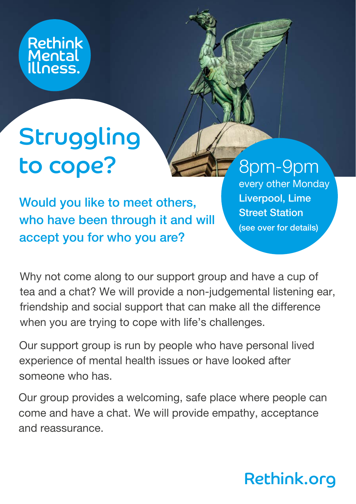

# **Struggling** to cope?

Would you like to meet others, who have been through it and will accept you for who you are?

### 8pm-9pm

every other Monday Liverpool, Lime Street Station (see over for details)

Why not come along to our support group and have a cup of tea and a chat? We will provide a non-judgemental listening ear, friendship and social support that can make all the difference when you are trying to cope with life's challenges.

Our support group is run by people who have personal lived experience of mental health issues or have looked after someone who has.

Our group provides a welcoming, safe place where people can come and have a chat. We will provide empathy, acceptance and reassurance.

## Rethink.org